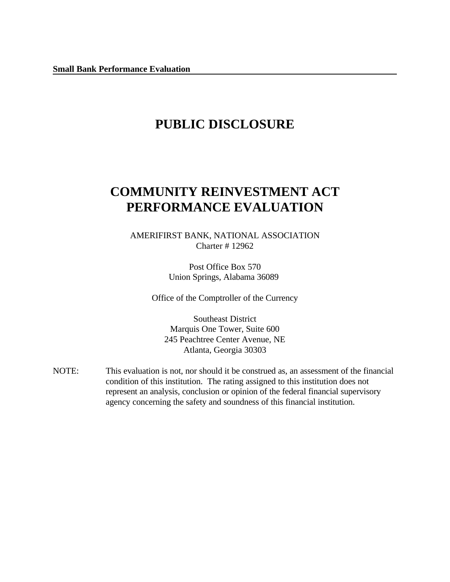# **PUBLIC DISCLOSURE**

# **COMMUNITY REINVESTMENT ACT PERFORMANCE EVALUATION**

AMERIFIRST BANK, NATIONAL ASSOCIATION Charter # 12962

> Post Office Box 570 Union Springs, Alabama 36089

Office of the Comptroller of the Currency

Southeast District Marquis One Tower, Suite 600 245 Peachtree Center Avenue, NE Atlanta, Georgia 30303

NOTE: This evaluation is not, nor should it be construed as, an assessment of the financial condition of this institution. The rating assigned to this institution does not represent an analysis, conclusion or opinion of the federal financial supervisory agency concerning the safety and soundness of this financial institution.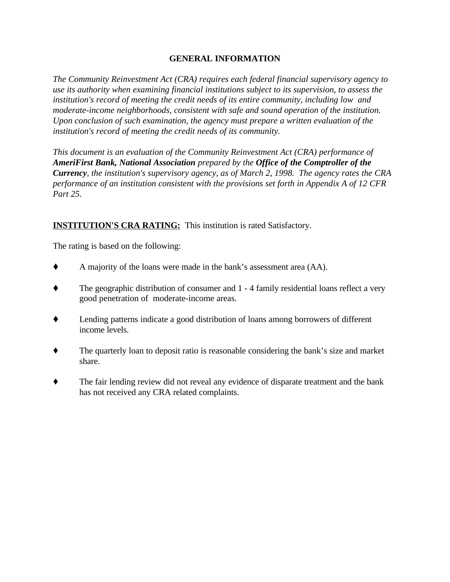## **GENERAL INFORMATION**

*The Community Reinvestment Act (CRA) requires each federal financial supervisory agency to use its authority when examining financial institutions subject to its supervision, to assess the institution's record of meeting the credit needs of its entire community, including low and moderate-income neighborhoods, consistent with safe and sound operation of the institution. Upon conclusion of such examination, the agency must prepare a written evaluation of the institution's record of meeting the credit needs of its community.* 

*This document is an evaluation of the Community Reinvestment Act (CRA) performance of AmeriFirst Bank, National Association prepared by the Office of the Comptroller of the Currency, the institution's supervisory agency, as of March 2, 1998. The agency rates the CRA performance of an institution consistent with the provisions set forth in Appendix A of 12 CFR Part 25.*

## **INSTITUTION'S CRA RATING:** This institution is rated Satisfactory.

The rating is based on the following:

- A majority of the loans were made in the bank's assessment area (AA).
- The geographic distribution of consumer and 1 4 family residential loans reflect a very good penetration of moderate-income areas.
- Lending patterns indicate a good distribution of loans among borrowers of different income levels.
- The quarterly loan to deposit ratio is reasonable considering the bank's size and market share.
- The fair lending review did not reveal any evidence of disparate treatment and the bank has not received any CRA related complaints.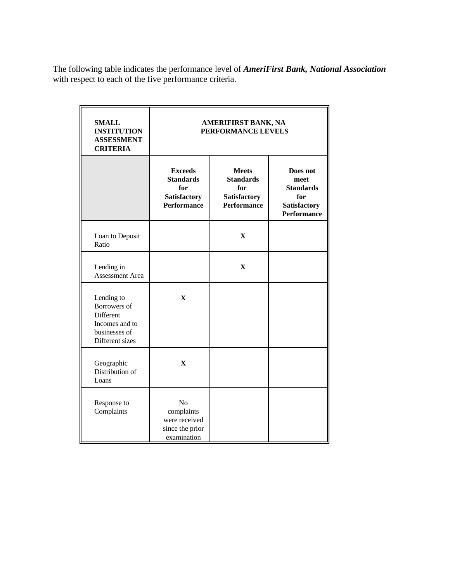The following table indicates the performance level of *AmeriFirst Bank, National Association* with respect to each of the five performance criteria.

| <b>SMALL</b><br><b>INSTITUTION</b><br><b>ASSESSMENT</b><br><b>CRITERIA</b>                    | <b>AMERIFIRST BANK, NA</b><br>PERFORMANCE LEVELS                                       |                                                                                          |  |  |  |  |
|-----------------------------------------------------------------------------------------------|----------------------------------------------------------------------------------------|------------------------------------------------------------------------------------------|--|--|--|--|
|                                                                                               | <b>Exceeds</b><br><b>Standards</b><br>for<br><b>Satisfactory</b><br><b>Performance</b> | Does not<br>meet<br><b>Standards</b><br>for<br><b>Satisfactory</b><br><b>Performance</b> |  |  |  |  |
| Loan to Deposit<br>Ratio                                                                      |                                                                                        | $\mathbf X$                                                                              |  |  |  |  |
| Lending in<br><b>Assessment Area</b>                                                          |                                                                                        | $\mathbf{X}$                                                                             |  |  |  |  |
| Lending to<br>Borrowers of<br>Different<br>Incomes and to<br>businesses of<br>Different sizes | $\mathbf X$                                                                            |                                                                                          |  |  |  |  |
| Geographic<br>Distribution of<br>Loans                                                        | $\mathbf X$                                                                            |                                                                                          |  |  |  |  |
| Response to<br>Complaints                                                                     | N <sub>o</sub><br>complaints<br>were received<br>since the prior<br>examination        |                                                                                          |  |  |  |  |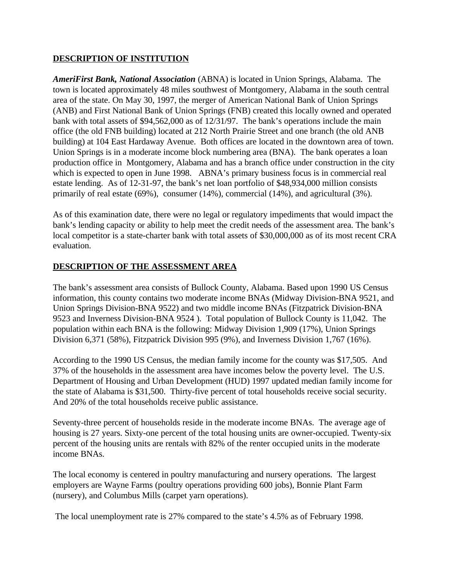### **DESCRIPTION OF INSTITUTION**

*AmeriFirst Bank, National Association* (ABNA) is located in Union Springs, Alabama. The town is located approximately 48 miles southwest of Montgomery, Alabama in the south central area of the state. On May 30, 1997, the merger of American National Bank of Union Springs (ANB) and First National Bank of Union Springs (FNB) created this locally owned and operated bank with total assets of \$94,562,000 as of 12/31/97. The bank's operations include the main office (the old FNB building) located at 212 North Prairie Street and one branch (the old ANB building) at 104 East Hardaway Avenue. Both offices are located in the downtown area of town. Union Springs is in a moderate income block numbering area (BNA). The bank operates a loan production office in Montgomery, Alabama and has a branch office under construction in the city which is expected to open in June 1998. ABNA's primary business focus is in commercial real estate lending. As of 12-31-97, the bank's net loan portfolio of \$48,934,000 million consists primarily of real estate (69%), consumer (14%), commercial (14%), and agricultural (3%).

As of this examination date, there were no legal or regulatory impediments that would impact the bank's lending capacity or ability to help meet the credit needs of the assessment area. The bank's local competitor is a state-charter bank with total assets of \$30,000,000 as of its most recent CRA evaluation.

#### **DESCRIPTION OF THE ASSESSMENT AREA**

The bank's assessment area consists of Bullock County, Alabama. Based upon 1990 US Census information, this county contains two moderate income BNAs (Midway Division-BNA 9521, and Union Springs Division-BNA 9522) and two middle income BNAs (Fitzpatrick Division-BNA 9523 and Inverness Division-BNA 9524 ). Total population of Bullock County is 11,042. The population within each BNA is the following: Midway Division 1,909 (17%), Union Springs Division 6,371 (58%), Fitzpatrick Division 995 (9%), and Inverness Division 1,767 (16%).

According to the 1990 US Census, the median family income for the county was \$17,505. And 37% of the households in the assessment area have incomes below the poverty level. The U.S. Department of Housing and Urban Development (HUD) 1997 updated median family income for the state of Alabama is \$31,500. Thirty-five percent of total households receive social security. And 20% of the total households receive public assistance.

Seventy-three percent of households reside in the moderate income BNAs. The average age of housing is 27 years. Sixty-one percent of the total housing units are owner-occupied. Twenty-six percent of the housing units are rentals with 82% of the renter occupied units in the moderate income BNAs.

The local economy is centered in poultry manufacturing and nursery operations. The largest employers are Wayne Farms (poultry operations providing 600 jobs), Bonnie Plant Farm (nursery), and Columbus Mills (carpet yarn operations).

The local unemployment rate is 27% compared to the state's 4.5% as of February 1998.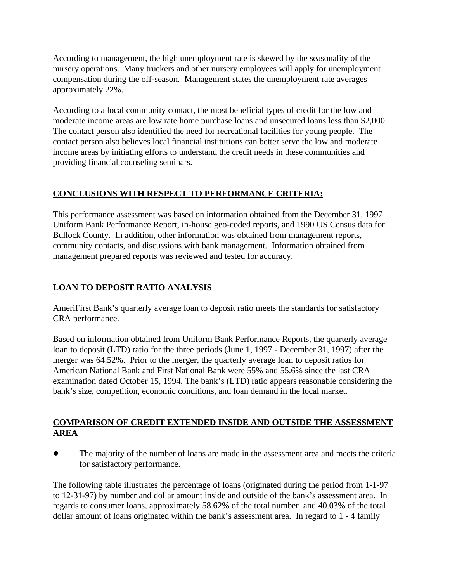According to management, the high unemployment rate is skewed by the seasonality of the nursery operations. Many truckers and other nursery employees will apply for unemployment compensation during the off-season. Management states the unemployment rate averages approximately 22%.

According to a local community contact, the most beneficial types of credit for the low and moderate income areas are low rate home purchase loans and unsecured loans less than \$2,000. The contact person also identified the need for recreational facilities for young people. The contact person also believes local financial institutions can better serve the low and moderate income areas by initiating efforts to understand the credit needs in these communities and providing financial counseling seminars.

## **CONCLUSIONS WITH RESPECT TO PERFORMANCE CRITERIA:**

This performance assessment was based on information obtained from the December 31, 1997 Uniform Bank Performance Report, in-house geo-coded reports, and 1990 US Census data for Bullock County. In addition, other information was obtained from management reports, community contacts, and discussions with bank management. Information obtained from management prepared reports was reviewed and tested for accuracy.

## **LOAN TO DEPOSIT RATIO ANALYSIS**

AmeriFirst Bank's quarterly average loan to deposit ratio meets the standards for satisfactory CRA performance.

Based on information obtained from Uniform Bank Performance Reports, the quarterly average loan to deposit (LTD) ratio for the three periods (June 1, 1997 - December 31, 1997) after the merger was 64.52%. Prior to the merger, the quarterly average loan to deposit ratios for American National Bank and First National Bank were 55% and 55.6% since the last CRA examination dated October 15, 1994. The bank's (LTD) ratio appears reasonable considering the bank's size, competition, economic conditions, and loan demand in the local market.

## **COMPARISON OF CREDIT EXTENDED INSIDE AND OUTSIDE THE ASSESSMENT AREA**

! The majority of the number of loans are made in the assessment area and meets the criteria for satisfactory performance.

The following table illustrates the percentage of loans (originated during the period from 1-1-97 to 12-31-97) by number and dollar amount inside and outside of the bank's assessment area. In regards to consumer loans, approximately 58.62% of the total number and 40.03% of the total dollar amount of loans originated within the bank's assessment area. In regard to 1 - 4 family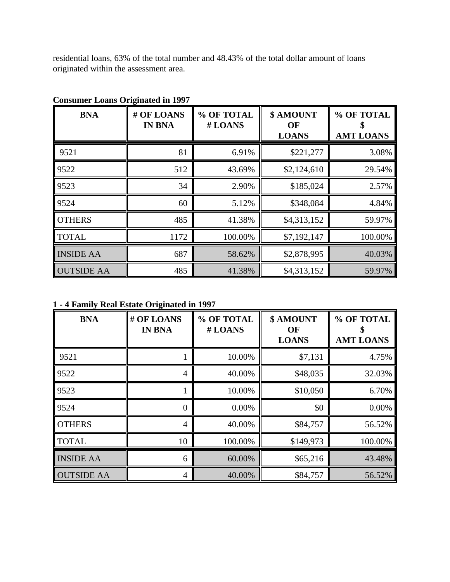residential loans, 63% of the total number and 48.43% of the total dollar amount of loans originated within the assessment area.

| <b>BNA</b>        | # OF LOANS<br><b>IN BNA</b> | % OF TOTAL<br>#LOANS | \$ AMOUNT<br>OF<br><b>LOANS</b> | % OF TOTAL<br><b>AMT LOANS</b> |
|-------------------|-----------------------------|----------------------|---------------------------------|--------------------------------|
| 9521              | 81                          | 6.91%                | \$221,277                       | 3.08%                          |
| 9522              | 512                         | 43.69%               | \$2,124,610                     | 29.54%                         |
| 9523              | 34                          | 2.90%                | \$185,024                       | 2.57%                          |
| 9524              | 60                          | 5.12%                | \$348,084                       | 4.84%                          |
| <b>OTHERS</b>     | 485                         | 41.38%               | \$4,313,152                     | 59.97%                         |
| <b>TOTAL</b>      | 1172                        | 100.00%              | \$7,192,147                     | 100.00%                        |
| <b>INSIDE AA</b>  | 687                         | 58.62%               | \$2,878,995                     | 40.03%                         |
| <b>OUTSIDE AA</b> | 485                         | 41.38%               | \$4,313,152                     | 59.97%                         |

**Consumer Loans Originated in 1997**

**1 - 4 Family Real Estate Originated in 1997**

| <b>BNA</b>        | # OF LOANS<br><b>IN BNA</b> | % OF TOTAL<br>#LOANS | \$ AMOUNT<br>OF<br><b>LOANS</b> | % OF TOTAL<br><b>AMT LOANS</b> |
|-------------------|-----------------------------|----------------------|---------------------------------|--------------------------------|
| 9521              |                             | 10.00%               | \$7,131                         | 4.75%                          |
| 9522              | 4                           | 40.00%               | \$48,035                        | 32.03%                         |
| 9523              |                             | 10.00%               | \$10,050                        | 6.70%                          |
| 9524              | $\theta$                    | 0.00%                | \$0                             | 0.00%                          |
| <b>OTHERS</b>     | 4                           | 40.00%               | \$84,757                        | 56.52%                         |
| <b>TOTAL</b>      | 10                          | 100.00%              | \$149,973                       | 100.00%                        |
| <b>INSIDE AA</b>  | 6                           | 60.00%               | \$65,216                        | 43.48%                         |
| <b>OUTSIDE AA</b> | 4                           | 40.00%               | \$84,757                        | 56.52%                         |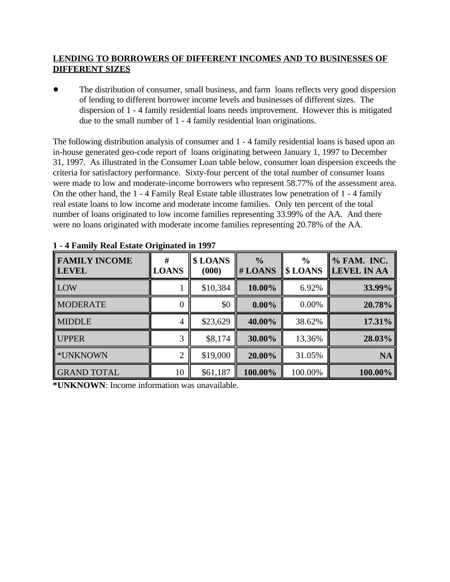## **LENDING TO BORROWERS OF DIFFERENT INCOMES AND TO BUSINESSES OF DIFFERENT SIZES**

The distribution of consumer, small business, and farm loans reflects very good dispersion of lending to different borrower income levels and businesses of different sizes. The dispersion of 1 - 4 family residential loans needs improvement. However this is mitigated due to the small number of 1 - 4 family residential loan originations.

The following distribution analysis of consumer and 1 - 4 family residential loans is based upon an in-house generated geo-code report of loans originating between January 1, 1997 to December 31, 1997. As illustrated in the Consumer Loan table below, consumer loan dispersion exceeds the criteria for satisfactory performance. Sixty-four percent of the total number of consumer loans were made to low and moderate-income borrowers who represent 58.77% of the assessment area. On the other hand, the 1 - 4 Family Real Estate table illustrates low penetration of 1 - 4 family real estate loans to low income and moderate income families. Only ten percent of the total number of loans originated to low income families representing 33.99% of the AA. And there were no loans originated with moderate income families representing 20.78% of the AA.

| <b>FAMILY INCOME</b><br><b>LEVEL</b> | #<br><b>LOANS</b> | \$LOANS<br>(000) | $\frac{0}{0}$<br>$#$ LOANS | $\frac{0}{0}$<br>\$LOANS | % FAM. INC.<br><b>LEVEL IN AA</b> |
|--------------------------------------|-------------------|------------------|----------------------------|--------------------------|-----------------------------------|
| LOW                                  |                   | \$10,384         | 10.00%                     | 6.92%                    | 33.99%                            |
| <b>MODERATE</b>                      | 0                 | \$0              | $0.00\%$                   | 0.00%                    | 20.78%                            |
| <b>MIDDLE</b>                        | 4                 | \$23,629         | 40.00%                     | 38.62%                   | 17.31%                            |
| <b>UPPER</b>                         | 3                 | \$8,174          | 30.00%                     | 13.36%                   | 28.03%                            |
| <b>*UNKNOWN</b>                      | 2                 | \$19,000         | 20.00%                     | 31.05%                   | <b>NA</b>                         |
| <b>GRAND TOTAL</b>                   | 10                | \$61,187         | 100.00%                    | 100.00%                  | 100.00%                           |

**1 - 4 Family Real Estate Originated in 1997** 

**\*UNKNOWN**: Income information was unavailable.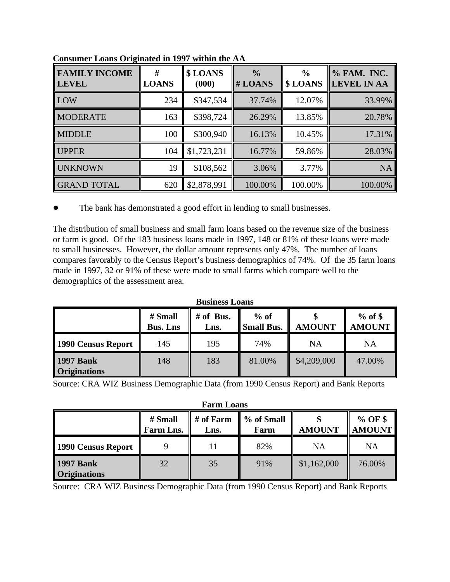| <b>FAMILY INCOME</b><br><b>LEVEL</b> | #<br><b>LOANS</b> | \$LOANS<br>(000) | $\frac{0}{0}$<br># LOANS | $\frac{6}{9}$<br>\$LOANS | % FAM. INC.<br><b>LEVEL IN AA</b> |
|--------------------------------------|-------------------|------------------|--------------------------|--------------------------|-----------------------------------|
| LOW                                  | 234               | \$347,534        | 37.74%                   | 12.07%                   | 33.99%                            |
| <b>MODERATE</b>                      | 163               | \$398,724        | 26.29%                   | 13.85%                   | 20.78%                            |
| <b>MIDDLE</b>                        | 100               | \$300,940        | 16.13%                   | 10.45%                   | 17.31%                            |
| UPPER                                | 104               | \$1,723,231      | 16.77%                   | 59.86%                   | 28.03%                            |
| <b>UNKNOWN</b>                       | 19                | \$108,562        | 3.06%                    | 3.77%                    | <b>NA</b>                         |
| <b>GRAND TOTAL</b>                   | 620               | \$2,878,991      | 100.00%                  | 100.00%                  | 100.00%                           |

**Consumer Loans Originated in 1997 within the AA**

• The bank has demonstrated a good effort in lending to small businesses.

The distribution of small business and small farm loans based on the revenue size of the business or farm is good. Of the 183 business loans made in 1997, 148 or 81% of these loans were made to small businesses. However, the dollar amount represents only 47%. The number of loans compares favorably to the Census Report's business demographics of 74%. Of the 35 farm loans made in 1997, 32 or 91% of these were made to small farms which compare well to the demographics of the assessment area.

| <b>Business Loans</b>                                                                                                           |     |     |        |             |           |  |  |
|---------------------------------------------------------------------------------------------------------------------------------|-----|-----|--------|-------------|-----------|--|--|
| $%$ of \$<br>$%$ of<br>$#$ of Bus.<br># Small<br><b>AMOUNT</b><br><b>Small Bus.</b><br><b>AMOUNT</b><br><b>Bus. Lns</b><br>Lns. |     |     |        |             |           |  |  |
| 1990 Census Report                                                                                                              | 145 | 195 | 74%    | NA          | <b>NA</b> |  |  |
| <b>1997 Bank</b><br><b>Originations</b>                                                                                         | 148 | 183 | 81.00% | \$4,209,000 | 47.00%    |  |  |

Source: CRA WIZ Business Demographic Data (from 1990 Census Report) and Bank Reports

**Farm Loans**

|                                         | # Small<br>Farm Lns. | # of Farm<br>Lns. | % of Small<br>Farm | <b>AMOUNT</b> | $%$ OF \$<br><b>AMOUNT</b> |
|-----------------------------------------|----------------------|-------------------|--------------------|---------------|----------------------------|
| 1990 Census Report                      |                      |                   | 82%                | NA            | NA                         |
| <b>1997 Bank</b><br><b>Originations</b> | 32                   | 35                | 91%                | \$1,162,000   | 76.00%                     |

Source: CRA WIZ Business Demographic Data (from 1990 Census Report) and Bank Reports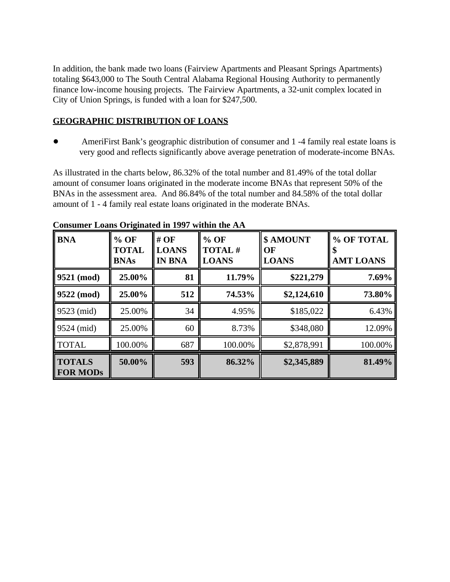In addition, the bank made two loans (Fairview Apartments and Pleasant Springs Apartments) totaling \$643,000 to The South Central Alabama Regional Housing Authority to permanently finance low-income housing projects. The Fairview Apartments, a 32-unit complex located in City of Union Springs, is funded with a loan for \$247,500.

## **GEOGRAPHIC DISTRIBUTION OF LOANS**

! AmeriFirst Bank's geographic distribution of consumer and 1 -4 family real estate loans is very good and reflects significantly above average penetration of moderate-income BNAs.

As illustrated in the charts below, 86.32% of the total number and 81.49% of the total dollar amount of consumer loans originated in the moderate income BNAs that represent 50% of the BNAs in the assessment area. And 86.84% of the total number and 84.58% of the total dollar amount of 1 - 4 family real estate loans originated in the moderate BNAs.

| <b>BNA</b>                       | $%$ OF<br><b>TOTAL</b><br><b>BNAs</b> | $#$ OF<br><b>LOANS</b><br><b>IN BNA</b> | $%$ OF<br>TOTAL#<br><b>LOANS</b> | \$ AMOUNT<br>OF<br><b>LOANS</b> | % OF TOTAL<br><b>AMT LOANS</b> |
|----------------------------------|---------------------------------------|-----------------------------------------|----------------------------------|---------------------------------|--------------------------------|
| $9521 \pmod{2}$                  | 25.00%                                | 81                                      | 11.79%                           | \$221,279                       | 7.69%                          |
| $9522 \; (mod)$                  | 25.00%                                | 512                                     | 74.53%                           | \$2,124,610                     | 73.80%                         |
| $9523$ (mid)                     | 25.00%                                | 34                                      | 4.95%                            | \$185,022                       | 6.43%                          |
| $9524 \; (mid)$                  | 25.00%                                | 60                                      | 8.73%                            | \$348,080                       | 12.09%                         |
| <b>TOTAL</b>                     | 100.00%                               | 687                                     | 100.00%                          | \$2,878,991                     | 100.00%                        |
| <b>TOTALS</b><br><b>FOR MODS</b> | 50.00%                                | 593                                     | 86.32%                           | \$2,345,889                     | 81.49%                         |

## **Consumer Loans Originated in 1997 within the AA**